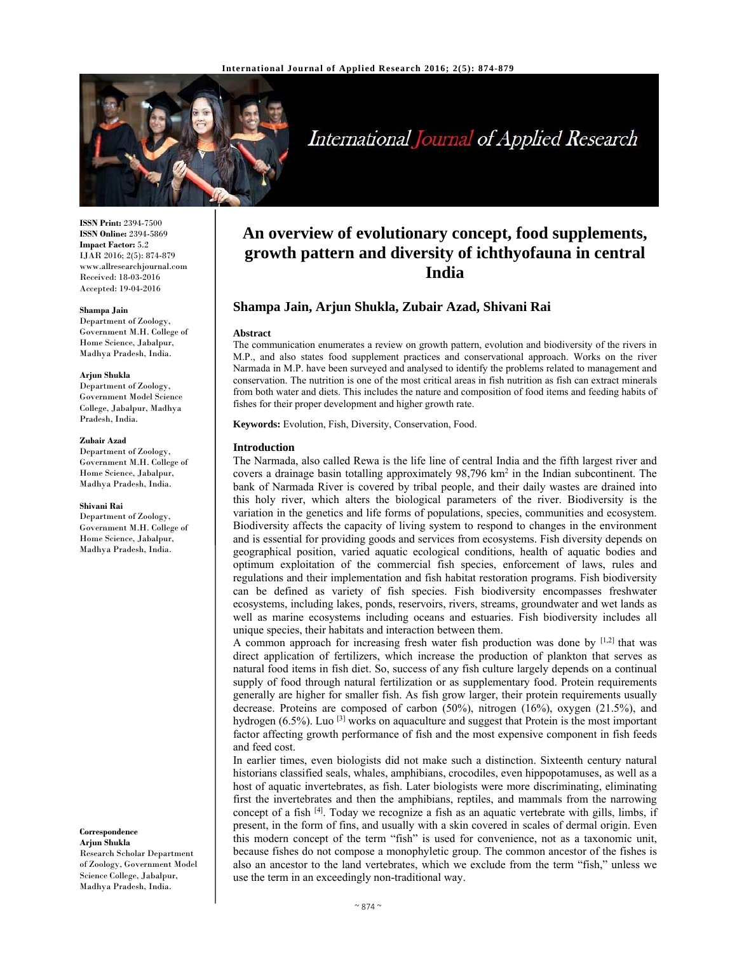

# International Journal of Applied Research

**ISSN Print:** 2394-7500 **ISSN Online:** 2394-5869 **Impact Factor:** 5.2 IJAR 2016; 2(5): 874-879 www.allresearchjournal.com Received: 18-03-2016 Accepted: 19-04-2016

#### **Shampa Jain**

Department of Zoology, Government M.H. College of Home Science, Jabalpur, Madhya Pradesh, India.

#### **Arjun Shukla**

Department of Zoology, Government Model Science College, Jabalpur, Madhya Pradesh, India.

#### **Zubair Azad**

Department of Zoology, Government M.H. College of Home Science, Jabalpur, Madhya Pradesh, India.

#### **Shivani Rai**

Department of Zoology, Government M.H. College of Home Science, Jabalpur, Madhya Pradesh, India.

#### **Correspondence Arjun Shukla**

Research Scholar Department of Zoology, Government Model Science College, Jabalpur, Madhya Pradesh, India.

# **An overview of evolutionary concept, food supplements, growth pattern and diversity of ichthyofauna in central India**

# **Shampa Jain, Arjun Shukla, Zubair Azad, Shivani Rai**

#### **Abstract**

The communication enumerates a review on growth pattern, evolution and biodiversity of the rivers in M.P., and also states food supplement practices and conservational approach. Works on the river Narmada in M.P. have been surveyed and analysed to identify the problems related to management and conservation. The nutrition is one of the most critical areas in fish nutrition as fish can extract minerals from both water and diets. This includes the nature and composition of food items and feeding habits of fishes for their proper development and higher growth rate.

**Keywords:** Evolution, Fish, Diversity, Conservation, Food.

## **Introduction**

The Narmada, also called Rewa is the life line of central India and the fifth largest river and covers a drainage basin totalling approximately  $98,796 \text{ km}^2$  in the Indian subcontinent. The bank of Narmada River is covered by tribal people, and their daily wastes are drained into this holy river, which alters the biological parameters of the river. Biodiversity is the variation in the genetics and life forms of populations, species, communities and ecosystem. Biodiversity affects the capacity of living system to respond to changes in the environment and is essential for providing goods and services from ecosystems. Fish diversity depends on geographical position, varied aquatic ecological conditions, health of aquatic bodies and optimum exploitation of the commercial fish species, enforcement of laws, rules and regulations and their implementation and fish habitat restoration programs. Fish biodiversity can be defined as variety of fish species. Fish biodiversity encompasses freshwater ecosystems, including lakes, ponds, reservoirs, rivers, streams, groundwater and wet lands as well as marine ecosystems including oceans and estuaries. Fish biodiversity includes all unique species, their habitats and interaction between them.

A common approach for increasing fresh water fish production was done by [1,2] that was direct application of fertilizers, which increase the production of plankton that serves as natural food items in fish diet. So, success of any fish culture largely depends on a continual supply of food through natural fertilization or as supplementary food. Protein requirements generally are higher for smaller fish. As fish grow larger, their protein requirements usually decrease. Proteins are composed of carbon (50%), nitrogen (16%), oxygen (21.5%), and hydrogen  $(6.5\%)$ . Luo <sup>[3]</sup> works on aquaculture and suggest that Protein is the most important factor affecting growth performance of fish and the most expensive component in fish feeds and feed cost.

In earlier times, even biologists did not make such a distinction. Sixteenth century natural historians classified seals, whales, amphibians, crocodiles, even hippopotamuses, as well as a host of aquatic invertebrates, as fish. Later biologists were more discriminating, eliminating first the invertebrates and then the amphibians, reptiles, and mammals from the narrowing concept of a fish  $[4]$ . Today we recognize a fish as an aquatic vertebrate with gills, limbs, if present, in the form of fins, and usually with a skin covered in scales of dermal origin. Even this modern concept of the term "fish" is used for convenience, not as a taxonomic unit, because fishes do not compose a monophyletic group. The common ancestor of the fishes is also an ancestor to the land vertebrates, which we exclude from the term "fish," unless we use the term in an exceedingly non-traditional way.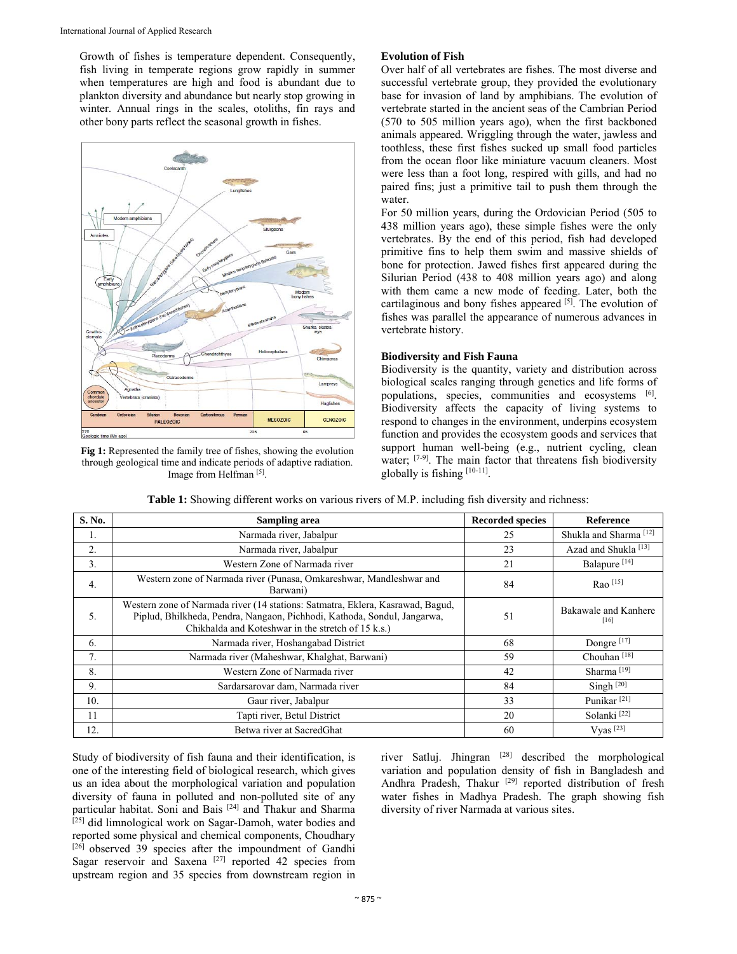Growth of fishes is temperature dependent. Consequently, fish living in temperate regions grow rapidly in summer when temperatures are high and food is abundant due to plankton diversity and abundance but nearly stop growing in winter. Annual rings in the scales, otoliths, fin rays and other bony parts reflect the seasonal growth in fishes.



**Fig 1:** Represented the family tree of fishes, showing the evolution through geological time and indicate periods of adaptive radiation. Image from Helfman [5].

# **Evolution of Fish**

Over half of all vertebrates are fishes. The most diverse and successful vertebrate group, they provided the evolutionary base for invasion of land by amphibians. The evolution of vertebrate started in the ancient seas of the Cambrian Period (570 to 505 million years ago), when the first backboned animals appeared. Wriggling through the water, jawless and toothless, these first fishes sucked up small food particles from the ocean floor like miniature vacuum cleaners. Most were less than a foot long, respired with gills, and had no paired fins; just a primitive tail to push them through the water.

For 50 million years, during the Ordovician Period (505 to 438 million years ago), these simple fishes were the only vertebrates. By the end of this period, fish had developed primitive fins to help them swim and massive shields of bone for protection. Jawed fishes first appeared during the Silurian Period (438 to 408 million years ago) and along with them came a new mode of feeding. Later, both the cartilaginous and bony fishes appeared [5]. The evolution of fishes was parallel the appearance of numerous advances in vertebrate history.

# **Biodiversity and Fish Fauna**

Biodiversity is the quantity, variety and distribution across biological scales ranging through genetics and life forms of populations, species, communities and ecosystems [6]. Biodiversity affects the capacity of living systems to respond to changes in the environment, underpins ecosystem function and provides the ecosystem goods and services that support human well-being (e.g., nutrient cycling, clean water; <sup>[7-9]</sup>. The main factor that threatens fish biodiversity globally is fishing [10-11].

| S. No. | <b>Sampling area</b>                                                                                                                                                                                             | <b>Recorded species</b> | Reference                         |
|--------|------------------------------------------------------------------------------------------------------------------------------------------------------------------------------------------------------------------|-------------------------|-----------------------------------|
| 1.     | Narmada river, Jabalpur                                                                                                                                                                                          | 25                      | Shukla and Sharma <sup>[12]</sup> |
| 2.     | Narmada river, Jabalpur                                                                                                                                                                                          | 23                      | Azad and Shukla <sup>[13]</sup>   |
| 3.     | Western Zone of Narmada river                                                                                                                                                                                    | 21                      | Balapure <sup>[14]</sup>          |
| 4.     | Western zone of Narmada river (Punasa, Omkareshwar, Mandleshwar and<br>Barwani)                                                                                                                                  | 84                      | $Rao$ [15]                        |
| 5.     | Western zone of Narmada river (14 stations: Satmatra, Eklera, Kasrawad, Bagud,<br>Piplud, Bhilkheda, Pendra, Nangaon, Pichhodi, Kathoda, Sondul, Jangarwa,<br>Chikhalda and Koteshwar in the stretch of 15 k.s.) | 51                      | Bakawale and Kanhere<br>[16]      |
| 6.     | Narmada river, Hoshangabad District                                                                                                                                                                              | 68                      | Dongre <sup>[17]</sup>            |
| 7.     | Narmada river (Maheshwar, Khalghat, Barwani)                                                                                                                                                                     | 59                      | Chouhan $[18]$                    |
| 8.     | Western Zone of Narmada river                                                                                                                                                                                    | 42                      | Sharma <sup>[19]</sup>            |
| 9.     | Sardarsarovar dam, Narmada river                                                                                                                                                                                 | 84                      | Singh $[20]$                      |
| 10.    | Gaur river, Jabalpur                                                                                                                                                                                             | 33                      | Punikar <sup>[21]</sup>           |
| 11     | Tapti river, Betul District                                                                                                                                                                                      | 20                      | Solanki <sup>[22]</sup>           |
| 12.    | Betwa river at SacredGhat                                                                                                                                                                                        | 60                      | Vyas <sup>[23]</sup>              |

**Table 1:** Showing different works on various rivers of M.P. including fish diversity and richness:

Study of biodiversity of fish fauna and their identification, is one of the interesting field of biological research, which gives us an idea about the morphological variation and population diversity of fauna in polluted and non-polluted site of any particular habitat. Soni and Bais [24] and Thakur and Sharma [25] did limnological work on Sagar-Damoh, water bodies and reported some physical and chemical components, Choudhary  $[26]$  observed 39 species after the impoundment of Gandhi Sagar reservoir and Saxena  $[27]$  reported 42 species from upstream region and 35 species from downstream region in

river Satluj. Jhingran [28] described the morphological variation and population density of fish in Bangladesh and Andhra Pradesh, Thakur<sup>[29]</sup> reported distribution of fresh water fishes in Madhya Pradesh. The graph showing fish diversity of river Narmada at various sites.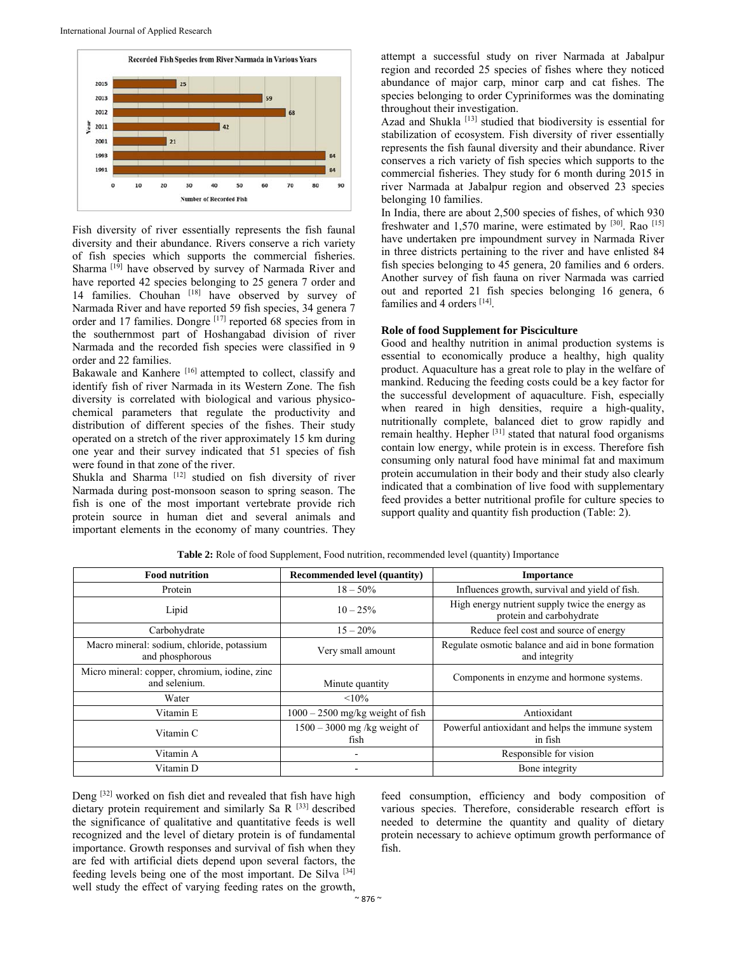

Fish diversity of river essentially represents the fish faunal diversity and their abundance. Rivers conserve a rich variety of fish species which supports the commercial fisheries. Sharma <sup>[19]</sup> have observed by survey of Narmada River and have reported 42 species belonging to 25 genera 7 order and 14 families. Chouhan [18] have observed by survey of Narmada River and have reported 59 fish species, 34 genera 7 order and 17 families. Dongre [17] reported 68 species from in the southernmost part of Hoshangabad division of river Narmada and the recorded fish species were classified in 9 order and 22 families.

Bakawale and Kanhere [16] attempted to collect, classify and identify fish of river Narmada in its Western Zone. The fish diversity is correlated with biological and various physicochemical parameters that regulate the productivity and distribution of different species of the fishes. Their study operated on a stretch of the river approximately 15 km during one year and their survey indicated that 51 species of fish were found in that zone of the river.

Shukla and Sharma [12] studied on fish diversity of river Narmada during post-monsoon season to spring season. The fish is one of the most important vertebrate provide rich protein source in human diet and several animals and important elements in the economy of many countries. They attempt a successful study on river Narmada at Jabalpur region and recorded 25 species of fishes where they noticed abundance of major carp, minor carp and cat fishes. The species belonging to order Cypriniformes was the dominating throughout their investigation.

Azad and Shukla<sup>[13]</sup> studied that biodiversity is essential for stabilization of ecosystem. Fish diversity of river essentially represents the fish faunal diversity and their abundance. River conserves a rich variety of fish species which supports to the commercial fisheries. They study for 6 month during 2015 in river Narmada at Jabalpur region and observed 23 species belonging 10 families.

In India, there are about 2,500 species of fishes, of which 930 freshwater and 1,570 marine, were estimated by [30]. Rao [15] have undertaken pre impoundment survey in Narmada River in three districts pertaining to the river and have enlisted 84 fish species belonging to 45 genera, 20 families and 6 orders. Another survey of fish fauna on river Narmada was carried out and reported 21 fish species belonging 16 genera, 6 families and 4 orders [14].

## **Role of food Supplement for Pisciculture**

Good and healthy nutrition in animal production systems is essential to economically produce a healthy, high quality product. Aquaculture has a great role to play in the welfare of mankind. Reducing the feeding costs could be a key factor for the successful development of aquaculture. Fish, especially when reared in high densities, require a high-quality, nutritionally complete, balanced diet to grow rapidly and remain healthy. Hepher [31] stated that natural food organisms contain low energy, while protein is in excess. Therefore fish consuming only natural food have minimal fat and maximum protein accumulation in their body and their study also clearly indicated that a combination of live food with supplementary feed provides a better nutritional profile for culture species to support quality and quantity fish production (Table: 2).

| <b>Food nutrition</b>                                          | <b>Recommended level (quantity)</b>    | <b>Importance</b>                                                           |
|----------------------------------------------------------------|----------------------------------------|-----------------------------------------------------------------------------|
| Protein                                                        | $18 - 50\%$                            | Influences growth, survival and yield of fish.                              |
| Lipid                                                          | $10 - 25\%$                            | High energy nutrient supply twice the energy as<br>protein and carbohydrate |
| Carbohydrate                                                   | $15 - 20\%$                            | Reduce feel cost and source of energy                                       |
| Macro mineral: sodium, chloride, potassium<br>and phosphorous  | Very small amount                      | Regulate osmotic balance and aid in bone formation<br>and integrity         |
| Micro mineral: copper, chromium, iodine, zinc<br>and selenium. | Minute quantity                        | Components in enzyme and hormone systems.                                   |
| Water                                                          | $< 10\%$                               |                                                                             |
| Vitamin E                                                      | $1000 - 2500$ mg/kg weight of fish     | Antioxidant                                                                 |
| Vitamin C                                                      | $1500 - 3000$ mg /kg weight of<br>fish | Powerful antioxidant and helps the immune system<br>in fish                 |
| Vitamin A                                                      |                                        | Responsible for vision                                                      |
| Vitamin D                                                      |                                        | Bone integrity                                                              |

**Table 2:** Role of food Supplement, Food nutrition, recommended level (quantity) Importance

Deng [32] worked on fish diet and revealed that fish have high dietary protein requirement and similarly Sa R [33] described the significance of qualitative and quantitative feeds is well recognized and the level of dietary protein is of fundamental importance. Growth responses and survival of fish when they are fed with artificial diets depend upon several factors, the feeding levels being one of the most important. De Silva [34] well study the effect of varying feeding rates on the growth,

feed consumption, efficiency and body composition of various species. Therefore, considerable research effort is needed to determine the quantity and quality of dietary protein necessary to achieve optimum growth performance of fish.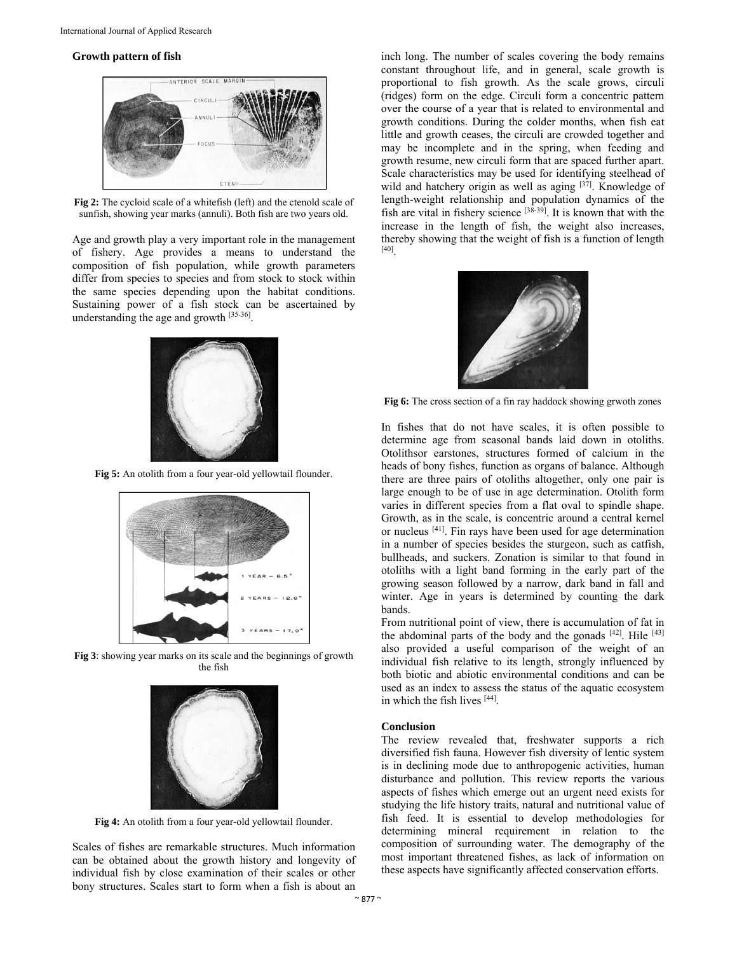#### **Growth pattern of fish**



**Fig 2:** The cycloid scale of a whitefish (left) and the ctenold scale of sunfish, showing year marks (annuli). Both fish are two years old.

Age and growth play a very important role in the management of fishery. Age provides a means to understand the composition of fish population, while growth parameters differ from species to species and from stock to stock within the same species depending upon the habitat conditions. Sustaining power of a fish stock can be ascertained by understanding the age and growth [35-36].



**Fig 5:** An otolith from a four year-old yellowtail flounder.



**Fig 3**: showing year marks on its scale and the beginnings of growth the fish



**Fig 4:** An otolith from a four year-old yellowtail flounder.

Scales of fishes are remarkable structures. Much information can be obtained about the growth history and longevity of individual fish by close examination of their scales or other bony structures. Scales start to form when a fish is about an

inch long. The number of scales covering the body remains constant throughout life, and in general, scale growth is proportional to fish growth. As the scale grows, circuli (ridges) form on the edge. Circuli form a concentric pattern over the course of a year that is related to environmental and growth conditions. During the colder months, when fish eat little and growth ceases, the circuli are crowded together and may be incomplete and in the spring, when feeding and growth resume, new circuli form that are spaced further apart. Scale characteristics may be used for identifying steelhead of wild and hatchery origin as well as aging [37]. Knowledge of length-weight relationship and population dynamics of the fish are vital in fishery science  $[3\overline{8}\cdot39]$ . It is known that with the increase in the length of fish, the weight also increases, thereby showing that the weight of fish is a function of length [40].



**Fig 6:** The cross section of a fin ray haddock showing grwoth zones

In fishes that do not have scales, it is often possible to determine age from seasonal bands laid down in otoliths. Otolithsor earstones, structures formed of calcium in the heads of bony fishes, function as organs of balance. Although there are three pairs of otoliths altogether, only one pair is large enough to be of use in age determination. Otolith form varies in different species from a flat oval to spindle shape. Growth, as in the scale, is concentric around a central kernel or nucleus [41]. Fin rays have been used for age determination in a number of species besides the sturgeon, such as catfish, bullheads, and suckers. Zonation is similar to that found in otoliths with a light band forming in the early part of the growing season followed by a narrow, dark band in fall and winter. Age in years is determined by counting the dark bands.

From nutritional point of view, there is accumulation of fat in the abdominal parts of the body and the gonads  $[42]$ . Hile  $[43]$ also provided a useful comparison of the weight of an individual fish relative to its length, strongly influenced by both biotic and abiotic environmental conditions and can be used as an index to assess the status of the aquatic ecosystem in which the fish lives [44].

# **Conclusion**

The review revealed that, freshwater supports a rich diversified fish fauna. However fish diversity of lentic system is in declining mode due to anthropogenic activities, human disturbance and pollution. This review reports the various aspects of fishes which emerge out an urgent need exists for studying the life history traits, natural and nutritional value of fish feed. It is essential to develop methodologies for determining mineral requirement in relation to the composition of surrounding water. The demography of the most important threatened fishes, as lack of information on these aspects have significantly affected conservation efforts.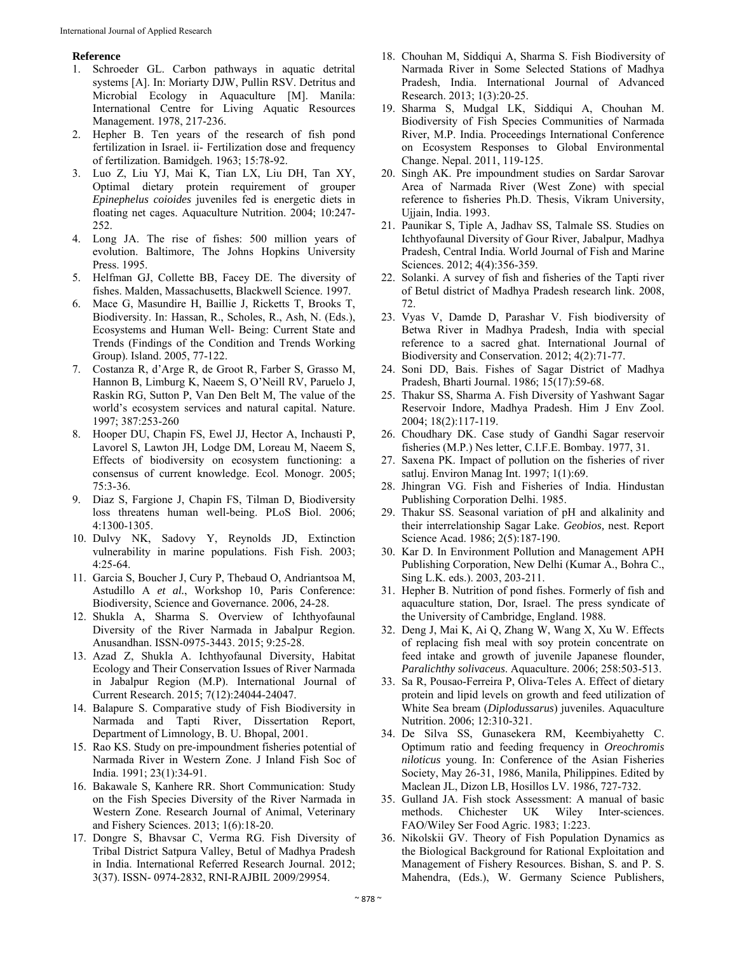# **Reference**

- 1. Schroeder GL. Carbon pathways in aquatic detrital systems [A]. In: Moriarty DJW, Pullin RSV. Detritus and Microbial Ecology in Aquaculture [M]. Manila: International Centre for Living Aquatic Resources Management. 1978, 217-236.
- 2. Hepher B. Ten years of the research of fish pond fertilization in Israel. ii- Fertilization dose and frequency of fertilization. Bamidgeh. 1963; 15:78-92.
- 3. Luo Z, Liu YJ, Mai K, Tian LX, Liu DH, Tan XY, Optimal dietary protein requirement of grouper *Epinephelus coioides* juveniles fed is energetic diets in floating net cages. Aquaculture Nutrition. 2004; 10:247- 252.
- 4. Long JA. The rise of fishes: 500 million years of evolution. Baltimore, The Johns Hopkins University Press. 1995.
- 5. Helfman GJ, Collette BB, Facey DE. The diversity of fishes. Malden, Massachusetts, Blackwell Science. 1997.
- 6. Mace G, Masundire H, Baillie J, Ricketts T, Brooks T, Biodiversity. In: Hassan, R., Scholes, R., Ash, N. (Eds.), Ecosystems and Human Well- Being: Current State and Trends (Findings of the Condition and Trends Working Group). Island. 2005, 77-122.
- 7. Costanza R, d'Arge R, de Groot R, Farber S, Grasso M, Hannon B, Limburg K, Naeem S, O'Neill RV, Paruelo J, Raskin RG, Sutton P, Van Den Belt M, The value of the world's ecosystem services and natural capital. Nature. 1997; 387:253-260
- 8. Hooper DU, Chapin FS, Ewel JJ, Hector A, Inchausti P, Lavorel S, Lawton JH, Lodge DM, Loreau M, Naeem S, Effects of biodiversity on ecosystem functioning: a consensus of current knowledge. Ecol. Monogr. 2005; 75:3-36.
- 9. Diaz S, Fargione J, Chapin FS, Tilman D, Biodiversity loss threatens human well-being. PLoS Biol. 2006; 4:1300-1305.
- 10. Dulvy NK, Sadovy Y, Reynolds JD, Extinction vulnerability in marine populations. Fish Fish. 2003; 4:25-64.
- 11. Garcia S, Boucher J, Cury P, Thebaud O, Andriantsoa M, Astudillo A *et al.*, Workshop 10, Paris Conference: Biodiversity, Science and Governance. 2006, 24-28.
- 12. Shukla A, Sharma S. Overview of Ichthyofaunal Diversity of the River Narmada in Jabalpur Region. Anusandhan. ISSN-0975-3443. 2015; 9:25-28.
- 13. Azad Z, Shukla A. Ichthyofaunal Diversity, Habitat Ecology and Their Conservation Issues of River Narmada in Jabalpur Region (M.P). International Journal of Current Research. 2015; 7(12):24044-24047.
- 14. Balapure S. Comparative study of Fish Biodiversity in Narmada and Tapti River, Dissertation Report, Department of Limnology, B. U. Bhopal, 2001.
- 15. Rao KS. Study on pre-impoundment fisheries potential of Narmada River in Western Zone. J Inland Fish Soc of India. 1991; 23(1):34-91.
- 16. Bakawale S, Kanhere RR. Short Communication: Study on the Fish Species Diversity of the River Narmada in Western Zone. Research Journal of Animal, Veterinary and Fishery Sciences. 2013; 1(6):18-20.
- 17. Dongre S, Bhavsar C, Verma RG. Fish Diversity of Tribal District Satpura Valley, Betul of Madhya Pradesh in India. International Referred Research Journal. 2012; 3(37). ISSN- 0974-2832, RNI-RAJBIL 2009/29954.
- 18. Chouhan M, Siddiqui A, Sharma S. Fish Biodiversity of Narmada River in Some Selected Stations of Madhya Pradesh, India. International Journal of Advanced Research. 2013; 1(3):20-25.
- 19. Sharma S, Mudgal LK, Siddiqui A, Chouhan M. Biodiversity of Fish Species Communities of Narmada River, M.P. India. Proceedings International Conference on Ecosystem Responses to Global Environmental Change. Nepal. 2011, 119-125.
- 20. Singh AK. Pre impoundment studies on Sardar Sarovar Area of Narmada River (West Zone) with special reference to fisheries Ph.D. Thesis, Vikram University, Ujjain, India. 1993.
- 21. Paunikar S, Tiple A, Jadhav SS, Talmale SS. Studies on Ichthyofaunal Diversity of Gour River, Jabalpur, Madhya Pradesh, Central India. World Journal of Fish and Marine Sciences. 2012; 4(4):356-359.
- 22. Solanki. A survey of fish and fisheries of the Tapti river of Betul district of Madhya Pradesh research link. 2008, 72.
- 23. Vyas V, Damde D, Parashar V. Fish biodiversity of Betwa River in Madhya Pradesh, India with special reference to a sacred ghat. International Journal of Biodiversity and Conservation. 2012; 4(2):71-77.
- 24. Soni DD, Bais. Fishes of Sagar District of Madhya Pradesh, Bharti Journal. 1986; 15(17):59-68.
- 25. Thakur SS, Sharma A. Fish Diversity of Yashwant Sagar Reservoir Indore, Madhya Pradesh. Him J Env Zool. 2004; 18(2):117-119.
- 26. Choudhary DK. Case study of Gandhi Sagar reservoir fisheries (M.P.) Nes letter, C.I.F.E. Bombay. 1977, 31.
- 27. Saxena PK. Impact of pollution on the fisheries of river satluj. Environ Manag Int. 1997; 1(1):69.
- 28. Jhingran VG. Fish and Fisheries of India. Hindustan Publishing Corporation Delhi. 1985.
- 29. Thakur SS. Seasonal variation of pH and alkalinity and their interrelationship Sagar Lake. *Geobios,* nest. Report Science Acad. 1986; 2(5):187-190.
- 30. Kar D. In Environment Pollution and Management APH Publishing Corporation, New Delhi (Kumar A., Bohra C., Sing L.K. eds.). 2003, 203-211.
- 31. Hepher B. Nutrition of pond fishes. Formerly of fish and aquaculture station, Dor, Israel. The press syndicate of the University of Cambridge, England. 1988.
- 32. Deng J, Mai K, Ai Q, Zhang W, Wang X, Xu W. Effects of replacing fish meal with soy protein concentrate on feed intake and growth of juvenile Japanese flounder, *Paralichthy solivaceus*. Aquaculture. 2006; 258:503-513.
- 33. Sa R, Pousao-Ferreira P, Oliva-Teles A. Effect of dietary protein and lipid levels on growth and feed utilization of White Sea bream (*Diplodussarus*) juveniles. Aquaculture Nutrition. 2006; 12:310-321.
- 34. De Silva SS, Gunasekera RM, Keembiyahetty C. Optimum ratio and feeding frequency in *Oreochromis niloticus* young. In: Conference of the Asian Fisheries Society, May 26-31, 1986, Manila, Philippines. Edited by Maclean JL, Dizon LB, Hosillos LV. 1986, 727-732.
- 35. Gulland JA. Fish stock Assessment: A manual of basic methods. Chichester UK Wiley Inter-sciences. FAO/Wiley Ser Food Agric. 1983; 1:223.
- 36. Nikolskii GV. Theory of Fish Population Dynamics as the Biological Background for Rational Exploitation and Management of Fishery Resources. Bishan, S. and P. S. Mahendra, (Eds.), W. Germany Science Publishers,